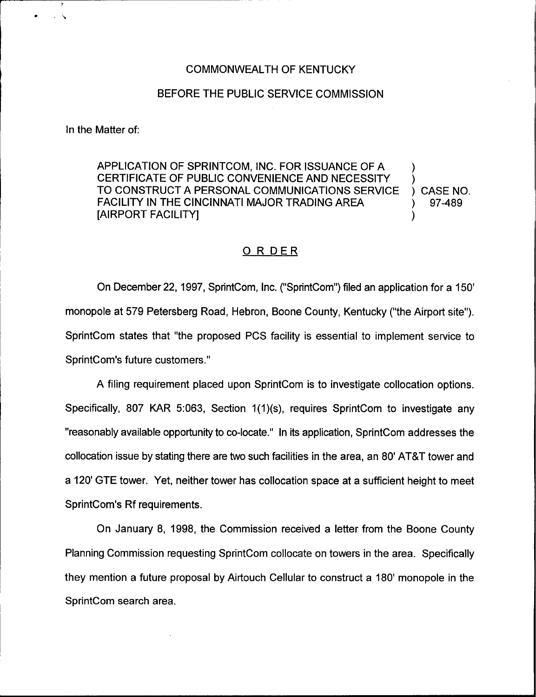## COMMONWEALTH OF KENTUCKY

## BEFORE THE PUBLIC SERVICE COMMISSION

In the Matter of:

APPLICATION OF SPRINTCOM, INC. FOR ISSUANCE OF A  $\qquad$  ) CERTIFICATE OF PUBLIC CONVENIENCE AND NECESSITY (CASE NO. TO CONSTRUCT A PERSONAL COMMUNICATIONS SERVICE ( ) CASE NO. TO CONSTRUCT A PERSONAL COMMUNICATIONS SERVICE ) CASE NO.<br>FACILITY IN THE CINCINNATI MAJOR TRADING AREA (197489) FACILITY IN THE CINCINNATI MAJOR TRADING AREA  $\qquad \qquad \text{(AIRPORT FACILITY)}$ [AIRPORT FACILITY] )

## 0 <sup>R</sup> DER

On December 22, 1997, SprintCom, Inc. ("SprintCom") filed an application for a monopole at 579 Petersberg Road, Hebron, Boone County, Kentucky ("the Airport site"). SprintCom states that "the proposed PCS facility is essential to implement service to SprintCom's future customers."

A filing requirement placed upon SprintCom is to investigate collocation options. Specifically, 807 KAR 5:063, Section 1(1)(s), requires SprintCom to investigate any "reasonably available opportunity to co-locate." In its application, SprintCom addresses the collocation issue by stating there are two such facilities in the area, an 80' AT&T tower and a 120' GTE tower. Yet, neither tower has collocation space at a sufficient height to meet SprintCom's Rf requirements.

On January 8, 1998, the Commission received a letter from the Boone County Planning Commission requesting SpiintCom collocate on towers in the area. Specifically they mention a future proposal by Airtouch Cellular to construct a 180' monopole in the SprintCom search area.